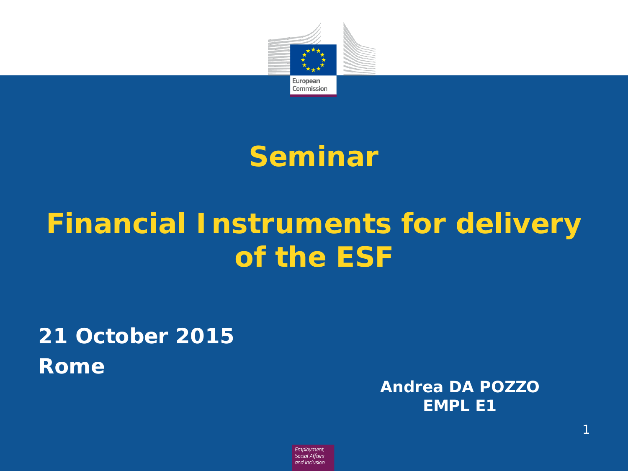

## **Seminar**

# **Financial Instruments for delivery of the ESF**

## **21 October 2015 Rome**

**Andrea DA POZZO EMPL E1**

Employment, **Social Affairs** and Inclusion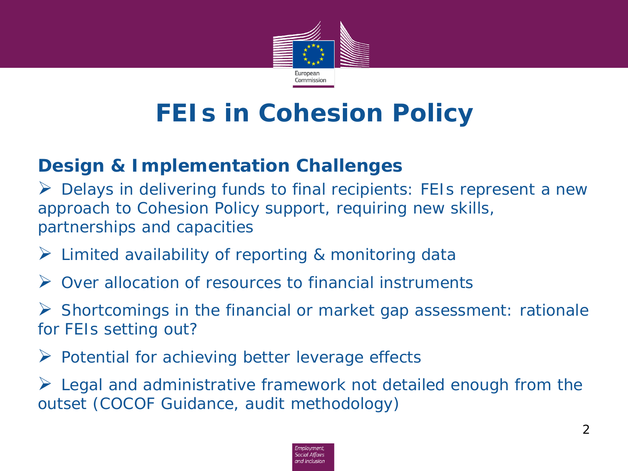

## **FEIs in Cohesion Policy**

### **Design & Implementation Challenges**

 Delays in delivering funds to final recipients: FEIs represent a new approach to Cohesion Policy support, requiring new skills, partnerships and capacities

- $\triangleright$  Limited availability of reporting & monitoring data
- **→** Over allocation of resources to financial instruments

 $\triangleright$  Shortcomings in the financial or market gap assessment: rationale for FEIs setting out?

 $\triangleright$  Potential for achieving better leverage effects

 $\triangleright$  Legal and administrative framework not detailed enough from the outset (COCOF Guidance, audit methodology)

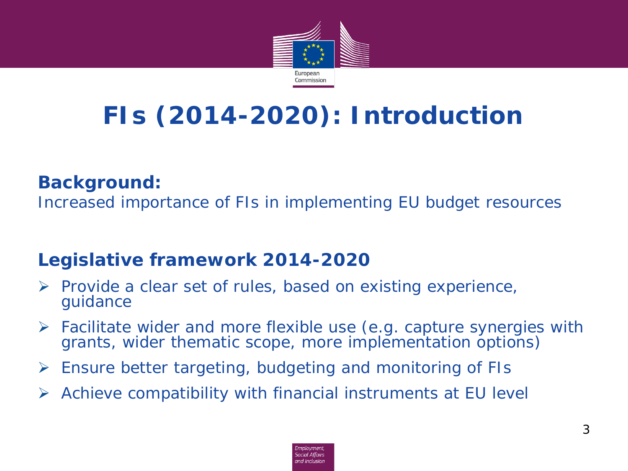

# **FIs (2014-2020): Introduction**

### **Background:**

Increased importance of FIs in implementing EU budget resources

### **Legislative framework 2014-2020**

- $\triangleright$  Provide a clear set of rules, based on existing experience, guidance
- Facilitate wider and more flexible use (e.g. capture synergies with grants, wider thematic scope, more implementation options)
- $\triangleright$  Ensure better targeting, budgeting and monitoring of FIs
- Achieve compatibility with financial instruments at EU level

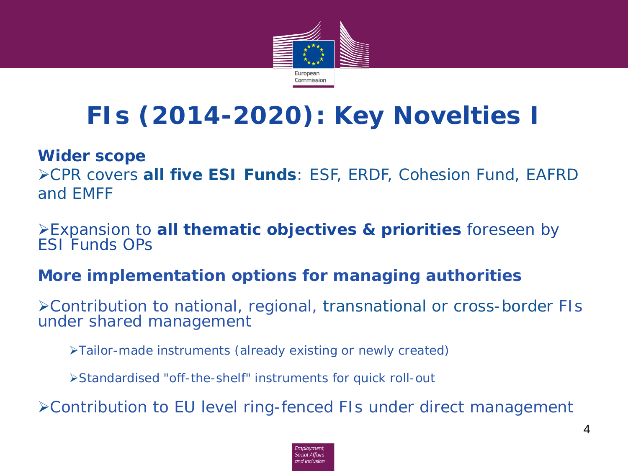

# **FIs (2014-2020): Key Novelties I**

#### **Wider scope**

CPR covers **all five ESI Funds**: ESF, ERDF, Cohesion Fund, EAFRD and EMFF

Expansion to **all thematic objectives & priorities** foreseen by ESI Funds OPs

### **More implementation options for managing authorities**

Contribution to national, regional, *transnational or cross-border* FIs under shared management

Tailor-made instruments (already existing or newly created)

Standardised "off-the-shelf" instruments for quick roll-out

Contribution to EU level ring-fenced FIs under direct management

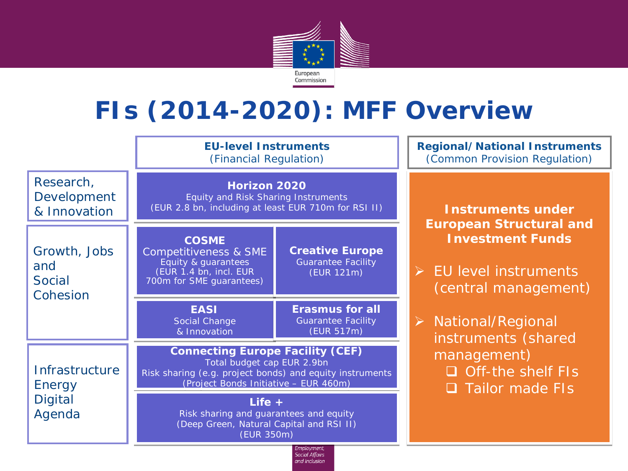

## **FIs (2014-2020): MFF Overview**

**EU-level Instruments** (Financial Regulation)

**Horizon 2020**

Research, Developme & Innovatio

Growth, Job and Social Cohesion

Energy **Digital** Agenda

| วท | <b>COSME</b>                                                                                       | (EUR 2.8 bn, including at least EUR 710m for RSI II)              |  |
|----|----------------------------------------------------------------------------------------------------|-------------------------------------------------------------------|--|
|    | Competitiveness & SME<br>Equity & guarantees<br>(EUR 1.4 bn, incl. EUR<br>700m for SME guarantees) | <b>Creative Europe</b><br><b>Guarantee Facility</b><br>(EUR 121m) |  |
|    | <b>EASI</b><br>Social Change<br>& Innovation                                                       | <b>Erasmus for all</b><br><b>Guarantee Facility</b><br>(EUR 517m) |  |

Infrastructure **Connecting Europe Facility (CEF)** Total budget cap EUR 2.9bn Risk sharing (e.g. project bonds) and equity instruments (Project Bonds Initiative – EUR 460m)

> **Life +** Risk sharing and guarantees and equity (Deep Green, Natural Capital and RSI II) (EUR 350m)

> > Employment. **Social Affairs** and Inclusion

**Regional/National Instruments** (Common Provision Regulation)

*(EUR 2.8 bn, including at least EUR 710m for RSI II)* **Instruments under European Structural and Investment Funds**

- $\triangleright$  EU level instruments (central management)
- $\triangleright$  National/Regional instruments (shared management)
	- $\Box$  Off-the shelf FIs
	- □ Tailor made FIs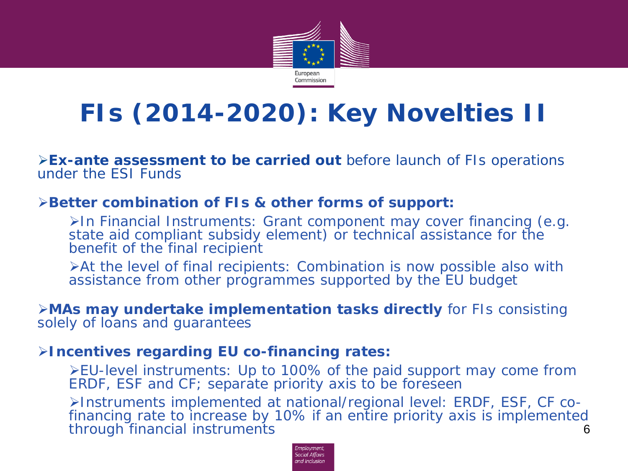

## **FIs (2014-2020): Key Novelties II**

**Ex-ante assessment to be carried out** before launch of FIs operations under the ESI Funds

#### **Better combination of FIs & other forms of support:**

In Financial Instruments: Grant component may cover financing (e.g. state aid compliant subsidy element) or technical assistance for the benefit of the final recipient

At the level of final recipients: Combination is now possible also with assistance from other programmes supported by the EU budget

#### **MAs may undertake implementation tasks directly** for FIs consisting solely of loans and guarantees

#### **Incentives regarding EU co-financing rates:**

*EU-level instruments*: Up to 100% of the paid support may come from ERDF, ESF and CF; separate priority axis to be foreseen

*Instruments implemented at national/regional level*: ERDF, ESF, CF co- financing rate to increase by 10% if an entire priority axis is implemented through financial instruments 6

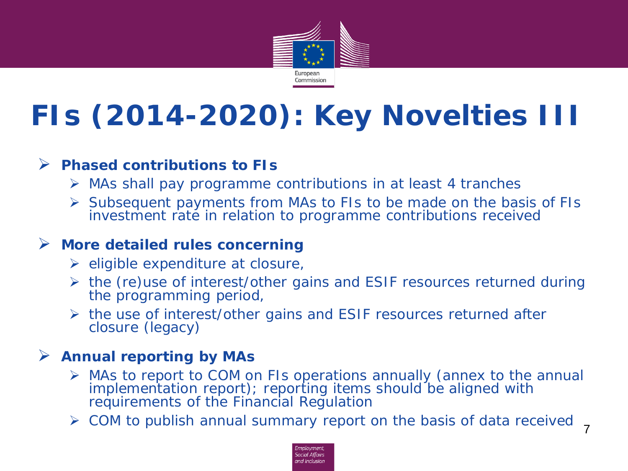

# **FIs (2014-2020): Key Novelties III**

#### **Phased contributions to FIs**

- $\triangleright$  MAs shall pay programme contributions in at least 4 tranches
- $\triangleright$  Subsequent payments from MAs to FIs to be made on the basis of FIs investment rate in relation to programme contributions received

#### **More detailed rules concerning**

- $\triangleright$  eligible expenditure at closure,
- $\triangleright$  the (re) use of interest/other gains and ESIF resources returned during the programming period,
- $\triangleright$  the use of interest/other gains and ESIF resources returned after closure (legacy)

#### **Annual reporting by MAs**

- MAs to report to COM on FIs operations annually (annex to the annual implementation report); reporting items should be aligned with requirements of the Financial Regulation
- $\triangleright$  COM to publish annual summary report on the basis of data received  $\frac{1}{7}$

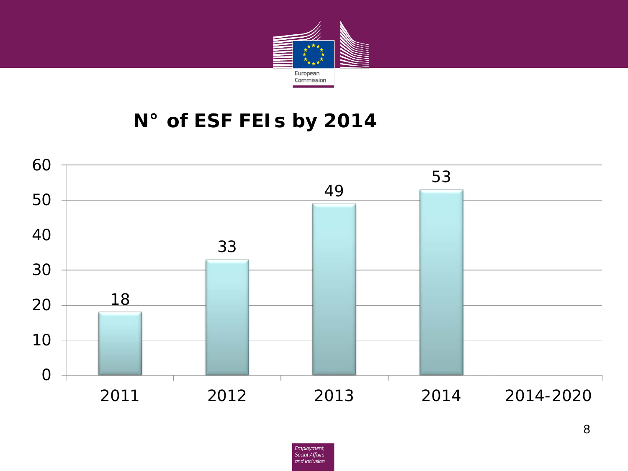

### **N° of ESF FEIs by 2014**

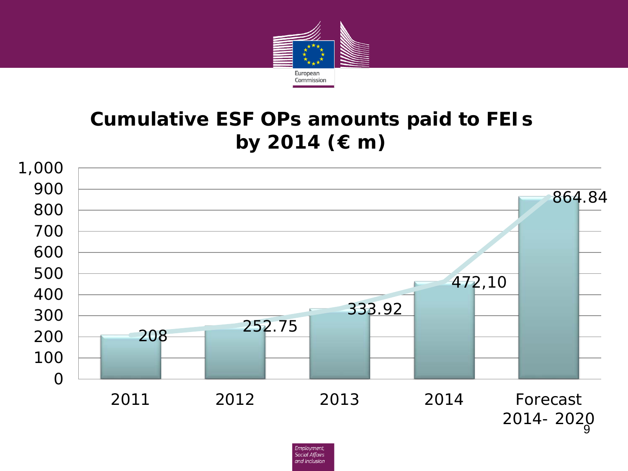

### **Cumulative ESF OPs amounts paid to FEIs by 2014 (€ m)**



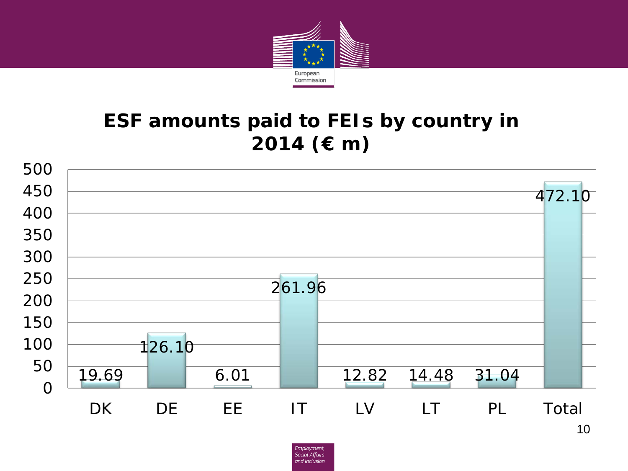

### **ESF amounts paid to FEIs by country in 2014 (€ m)**

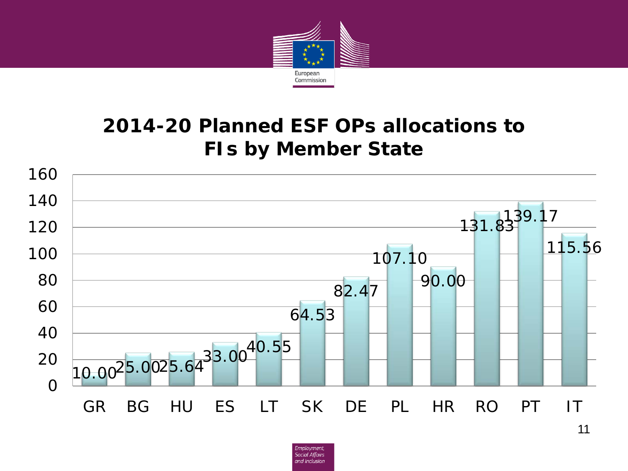

### **2014-20 Planned ESF OPs allocations to FIs by Member State**



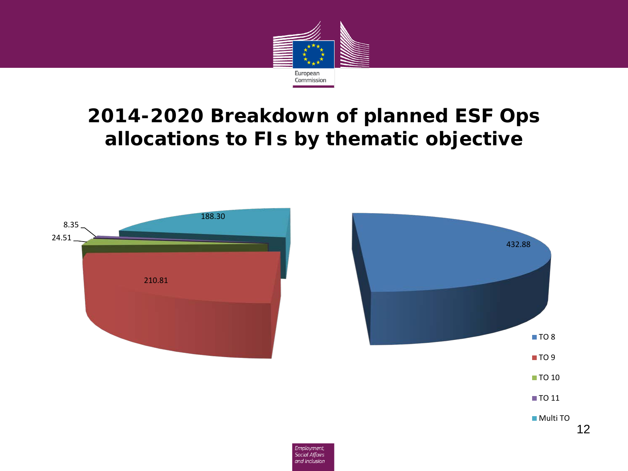

### **2014-2020 Breakdown of planned ESF Ops allocations to FIs by thematic objective**



12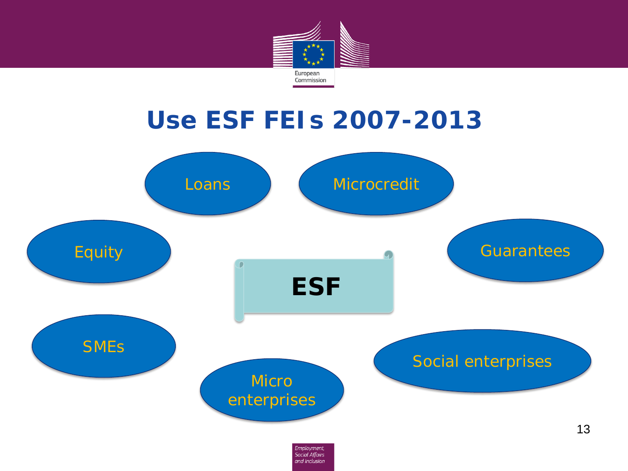

## **Use ESF FEIs 2007-2013**

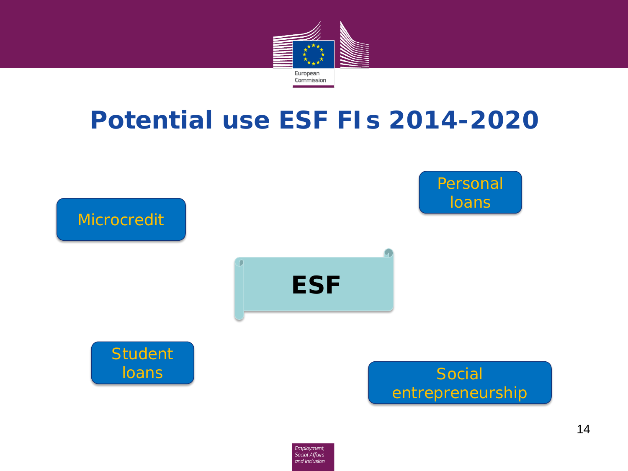

## **Potential use ESF FIs 2014-2020**